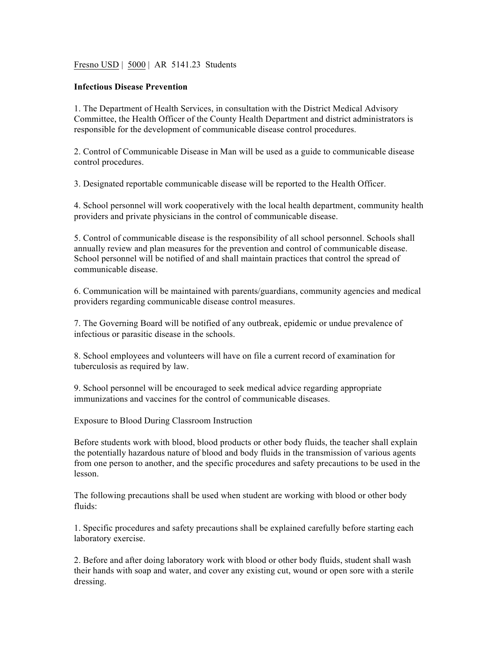Fresno USD | 5000 | AR 5141.23 Students

## **Infectious Disease Prevention**

1. The Department of Health Services, in consultation with the District Medical Advisory Committee, the Health Officer of the County Health Department and district administrators is responsible for the development of communicable disease control procedures.

2. Control of Communicable Disease in Man will be used as a guide to communicable disease control procedures.

3. Designated reportable communicable disease will be reported to the Health Officer.

4. School personnel will work cooperatively with the local health department, community health providers and private physicians in the control of communicable disease.

5. Control of communicable disease is the responsibility of all school personnel. Schools shall annually review and plan measures for the prevention and control of communicable disease. School personnel will be notified of and shall maintain practices that control the spread of communicable disease.

6. Communication will be maintained with parents/guardians, community agencies and medical providers regarding communicable disease control measures.

7. The Governing Board will be notified of any outbreak, epidemic or undue prevalence of infectious or parasitic disease in the schools.

8. School employees and volunteers will have on file a current record of examination for tuberculosis as required by law.

9. School personnel will be encouraged to seek medical advice regarding appropriate immunizations and vaccines for the control of communicable diseases.

Exposure to Blood During Classroom Instruction

Before students work with blood, blood products or other body fluids, the teacher shall explain the potentially hazardous nature of blood and body fluids in the transmission of various agents from one person to another, and the specific procedures and safety precautions to be used in the lesson.

The following precautions shall be used when student are working with blood or other body fluids:

1. Specific procedures and safety precautions shall be explained carefully before starting each laboratory exercise.

2. Before and after doing laboratory work with blood or other body fluids, student shall wash their hands with soap and water, and cover any existing cut, wound or open sore with a sterile dressing.